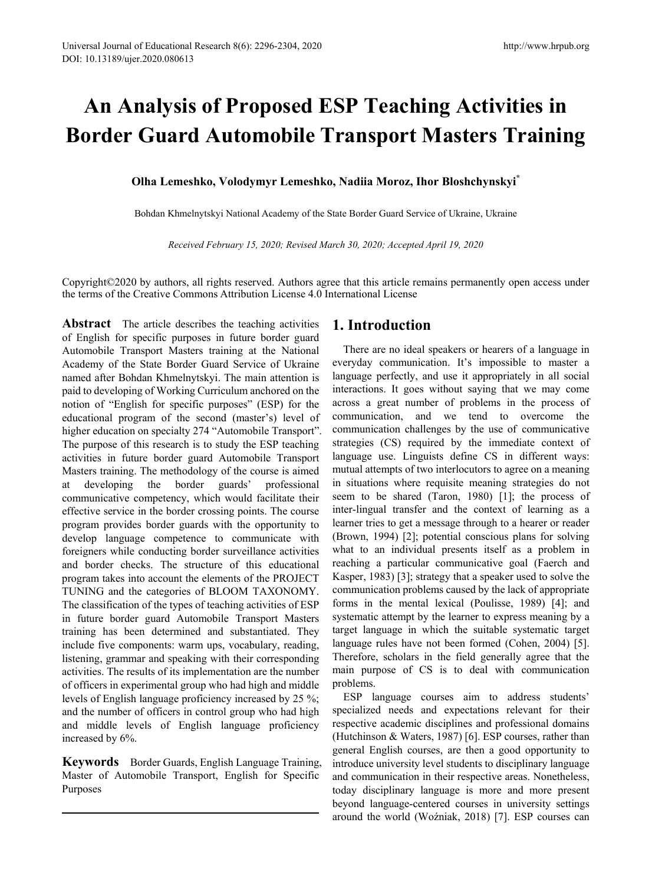# **An Analysis of Proposed ESP Teaching Activities in Border Guard Automobile Transport Masters Training**

**Olha Lemeshko, Volodymyr Lemeshko, Nadiia Moroz, Ihor Bloshchynskyi\*** 

Bohdan Khmelnytskyi National Academy of the State Border Guard Service of Ukraine, Ukraine

*Received February 15, 2020; Revised March 30, 2020; Accepted April 19, 2020*

Copyright©2020 by authors, all rights reserved. Authors agree that this article remains permanently open access under the terms of the Creative Commons Attribution License 4.0 International License

**Abstract** The article describes the teaching activities of English for specific purposes in future border guard Automobile Transport Masters training at the National Academy of the State Border Guard Service of Ukraine named after Bohdan Khmelnytskyi. The main attention is paid to developing of Working Curriculum anchored on the notion of "English for specific purposes" (ESP) for the educational program of the second (master's) level of higher education on specialty 274 "Automobile Transport". The purpose of this research is to study the ESP teaching activities in future border guard Automobile Transport Masters training. The methodology of the course is aimed at developing the border guards' professional communicative competency, which would facilitate their effective service in the border crossing points. The course program provides border guards with the opportunity to develop language competence to communicate with foreigners while conducting border surveillance activities and border checks. The structure of this educational program takes into account the elements of the PROJECT TUNING and the categories of BLOOM TAXONOMY. The classification of the types of teaching activities of ESP in future border guard Automobile Transport Masters training has been determined and substantiated. They include five components: warm ups, vocabulary, reading, listening, grammar and speaking with their corresponding activities. The results of its implementation are the number of officers in experimental group who had high and middle levels of English language proficiency increased by 25 %; and the number of officers in control group who had high and middle levels of English language proficiency increased by 6%.

**Keywords** Border Guards, English Language Training, Master of Automobile Transport, English for Specific Purposes

## **1. Introduction**

There are no ideal speakers or hearers of a language in everyday communication. It's impossible to master a language perfectly, and use it appropriately in all social interactions. It goes without saying that we may come across a great number of problems in the process of communication, and we tend to overcome the communication challenges by the use of communicative strategies (CS) required by the immediate context of language use. Linguists define CS in different ways: mutual attempts of two interlocutors to agree on a meaning in situations where requisite meaning strategies do not seem to be shared (Taron, 1980) [1]; the process of inter-lingual transfer and the context of learning as a learner tries to get a message through to a hearer or reader (Brown, 1994) [2]; potential conscious plans for solving what to an individual presents itself as a problem in reaching a particular communicative goal (Faerch and Kasper, 1983) [3]; strategy that a speaker used to solve the communication problems caused by the lack of appropriate forms in the mental lexical (Poulisse, 1989) [4]; and systematic attempt by the learner to express meaning by a target language in which the suitable systematic target language rules have not been formed (Cohen, 2004) [5]. Therefore, scholars in the field generally agree that the main purpose of CS is to deal with communication problems.

ESP language courses aim to address students' specialized needs and expectations relevant for their respective academic disciplines and professional domains (Hutchinson & Waters, 1987) [6]. ESP courses, rather than general English courses, are then a good opportunity to introduce university level students to disciplinary language and communication in their respective areas. Nonetheless, today disciplinary language is more and more present beyond language-centered courses in university settings around the world (Woźniak, 2018) [7]. ESP courses can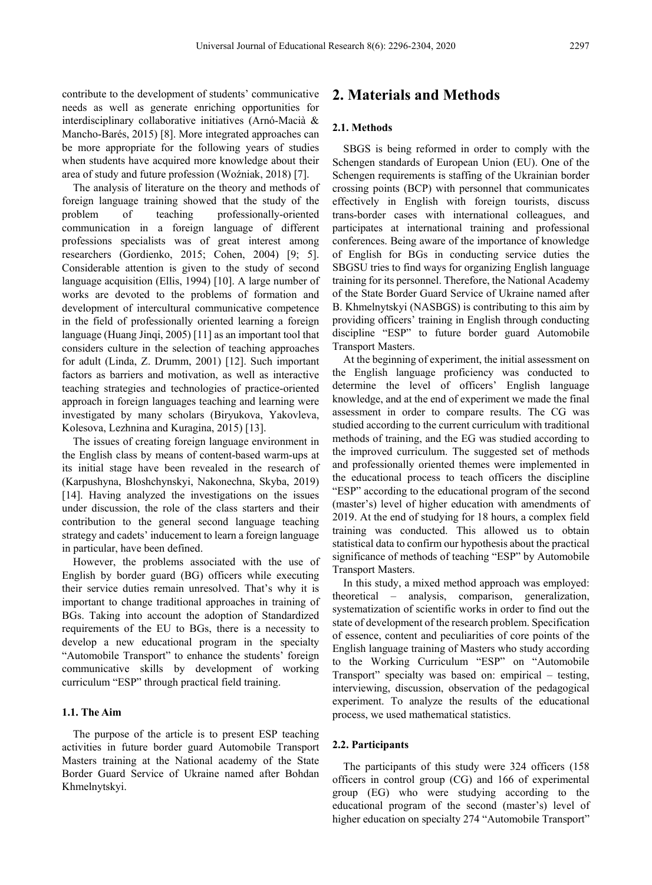contribute to the development of students' communicative needs as well as generate enriching opportunities for interdisciplinary collaborative initiatives (Arnó-Macià & Mancho-Barés, 2015) [8]. More integrated approaches can be more appropriate for the following years of studies when students have acquired more knowledge about their area of study and future profession (Woźniak, 2018) [7].

The analysis of literature on the theory and methods of foreign language training showed that the study of the problem of teaching professionally-oriented communication in a foreign language of different professions specialists was of great interest among researchers (Gordienko, 2015; Cohen, 2004) [9; 5]. Considerable attention is given to the study of second language acquisition (Ellis, 1994) [10]. A large number of works are devoted to the problems of formation and development of intercultural communicative competence in the field of professionally oriented learning a foreign language (Huang Jinqi, 2005) [11] as an important tool that considers culture in the selection of teaching approaches for adult (Linda, Z. Drumm, 2001) [12]. Such important factors as barriers and motivation, as well as interactive teaching strategies and technologies of practice-oriented approach in foreign languages teaching and learning were investigated by many scholars (Biryukova, Yakovleva, Kolesova, Lezhnina and Kuragina, 2015) [13].

The issues of creating foreign language environment in the English class by means of content-based warm-ups at its initial stage have been revealed in the research of (Karpushyna, Bloshchynskyi, Nakonechna, Skyba, 2019) [14]. Having analyzed the investigations on the issues under discussion, the role of the class starters and their contribution to the general second language teaching strategy and cadets' inducement to learn a foreign language in particular, have been defined.

However, the problems associated with the use of English by border guard (BG) officers while executing their service duties remain unresolved. That's why it is important to change traditional approaches in training of BGs. Taking into account the adoption of Standardized requirements of the EU to BGs, there is a necessity to develop a new educational program in the specialty "Automobile Transport" to enhance the students' foreign communicative skills by development of working curriculum "ESP" through practical field training.

#### **1.1. The Aim**

The purpose of the article is to present ESP teaching activities in future border guard Automobile Transport Masters training at the National academy of the State Border Guard Service of Ukraine named after Bohdan Khmelnytskyi.

# **2. Materials and Methods**

#### **2.1. Methods**

SBGS is being reformed in order to comply with the Schengen standards of European Union (EU). One of the Schengen requirements is staffing of the Ukrainian border crossing points (BCP) with personnel that communicates effectively in English with foreign tourists, discuss trans-border cases with international colleagues, and participates at international training and professional conferences. Being aware of the importance of knowledge of English for BGs in conducting service duties the SBGSU tries to find ways for organizing English language training for its personnel. Therefore, the National Academy of the State Border Guard Service of Ukraine named after B. Khmelnytskyi (NASBGS) is contributing to this aim by providing officers' training in English through conducting discipline "ESP" to future border guard Automobile Transport Masters.

At the beginning of experiment, the initial assessment on the English language proficiency was conducted to determine the level of officers' English language knowledge, and at the end of experiment we made the final assessment in order to compare results. The CG was studied according to the current curriculum with traditional methods of training, and the EG was studied according to the improved curriculum. The suggested set of methods and professionally oriented themes were implemented in the educational process to teach officers the discipline "ESP" according to the educational program of the second (master's) level of higher education with amendments of 2019. At the end of studying for 18 hours, a complex field training was conducted. This allowed us to obtain statistical data to confirm our hypothesis about the practical significance of methods of teaching "ESP" by Automobile Transport Masters.

In this study, a mixed method approach was employed: theoretical – analysis, comparison, generalization, systematization of scientific works in order to find out the state of development of the research problem. Specification of essence, content and peculiarities of core points of the English language training of Masters who study according to the Working Curriculum "ESP" on "Automobile Transport" specialty was based on: empirical – testing, interviewing, discussion, observation of the pedagogical experiment. To analyze the results of the educational process, we used mathematical statistics.

#### **2.2. Participants**

The participants of this study were 324 officers (158 officers in control group (CG) and 166 of experimental group (EG) who were studying according to the educational program of the second (master's) level of higher education on specialty 274 "Automobile Transport"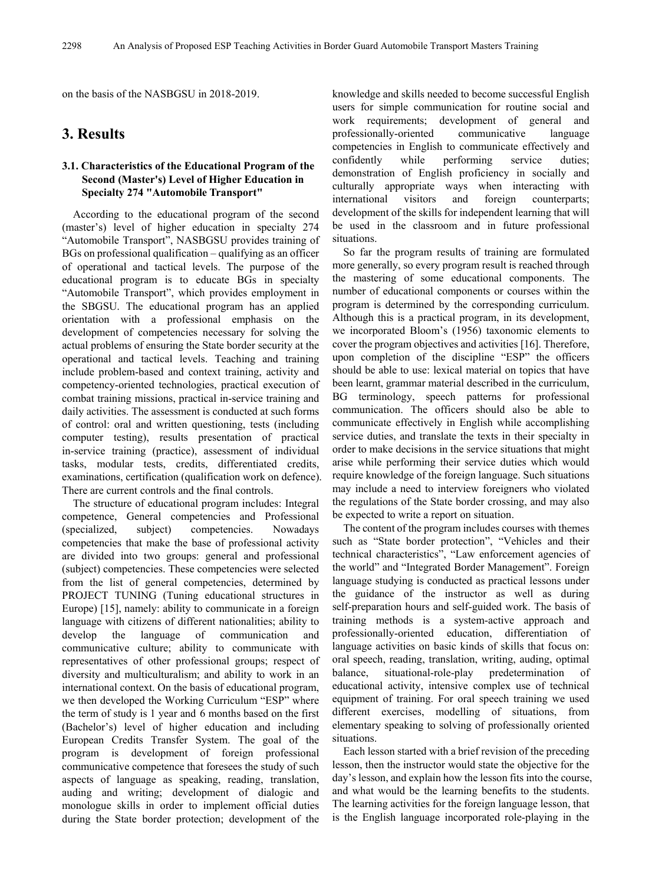on the basis of the NASBGSU in 2018-2019.

# **3. Results**

## **3.1. Characteristics of the Educational Program of the Second (Master's) Level of Higher Education in Specialty 274 "Automobile Transport"**

According to the educational program of the second (master's) level of higher education in specialty 274 "Automobile Transport", NASBGSU provides training of BGs on professional qualification – qualifying as an officer of operational and tactical levels. The purpose of the educational program is to educate BGs in specialty "Automobile Transport", which provides employment in the SBGSU. The educational program has an applied orientation with a professional emphasis on the development of competencies necessary for solving the actual problems of ensuring the State border security at the operational and tactical levels. Teaching and training include problem-based and context training, activity and competency-oriented technologies, practical execution of combat training missions, practical in-service training and daily activities. The assessment is conducted at such forms of control: oral and written questioning, tests (including computer testing), results presentation of practical in-service training (practice), assessment of individual tasks, modular tests, credits, differentiated credits, examinations, certification (qualification work on defence). There are current controls and the final controls.

The structure of educational program includes: Integral competence, General competencies and Professional (specialized, subject) competencies. Nowadays competencies that make the base of professional activity are divided into two groups: general and professional (subject) competencies. These competencies were selected from the list of general competencies, determined by PROJECT TUNING (Tuning educational structures in Europe) [15], namely: ability to communicate in a foreign language with citizens of different nationalities; ability to develop the language of communication and communicative culture; ability to communicate with representatives of other professional groups; respect of diversity and multiculturalism; and ability to work in an international context. On the basis of educational program, we then developed the Working Curriculum "ESP" where the term of study is 1 year and 6 months based on the first (Bachelor's) level of higher education and including European Credits Transfer System. The goal of the program is development of foreign professional communicative competence that foresees the study of such aspects of language as speaking, reading, translation, auding and writing; development of dialogic and monologue skills in order to implement official duties during the State border protection; development of the

knowledge and skills needed to become successful English users for simple communication for routine social and work requirements; development of general and professionally-oriented communicative language competencies in English to communicate effectively and confidently while performing service duties; demonstration of English proficiency in socially and culturally appropriate ways when interacting with international visitors and foreign counterparts; development of the skills for independent learning that will be used in the classroom and in future professional situations.

So far the program results of training are formulated more generally, so every program result is reached through the mastering of some educational components. The number of educational components or courses within the program is determined by the corresponding curriculum. Although this is a practical program, in its development, we incorporated Bloom's (1956) taxonomic elements to cover the program objectives and activities [16]. Therefore, upon completion of the discipline "ESP" the officers should be able to use: lexical material on topics that have been learnt, grammar material described in the curriculum, BG terminology, speech patterns for professional communication. The officers should also be able to communicate effectively in English while accomplishing service duties, and translate the texts in their specialty in order to make decisions in the service situations that might arise while performing their service duties which would require knowledge of the foreign language. Such situations may include a need to interview foreigners who violated the regulations of the State border crossing, and may also be expected to write a report on situation.

The content of the program includes courses with themes such as "State border protection", "Vehicles and their technical characteristics", "Law enforcement agencies of the world" and "Integrated Border Management". Foreign language studying is conducted as practical lessons under the guidance of the instructor as well as during self-preparation hours and self-guided work. The basis of training methods is a system-active approach and professionally-oriented education, differentiation of language activities on basic kinds of skills that focus on: oral speech, reading, translation, writing, auding, optimal balance, situational-role-play predetermination of educational activity, intensive complex use of technical equipment of training. For oral speech training we used different exercises, modelling of situations, from elementary speaking to solving of professionally oriented situations.

Each lesson started with a brief revision of the preceding lesson, then the instructor would state the objective for the day's lesson, and explain how the lesson fits into the course, and what would be the learning benefits to the students. The learning activities for the foreign language lesson, that is the English language incorporated role-playing in the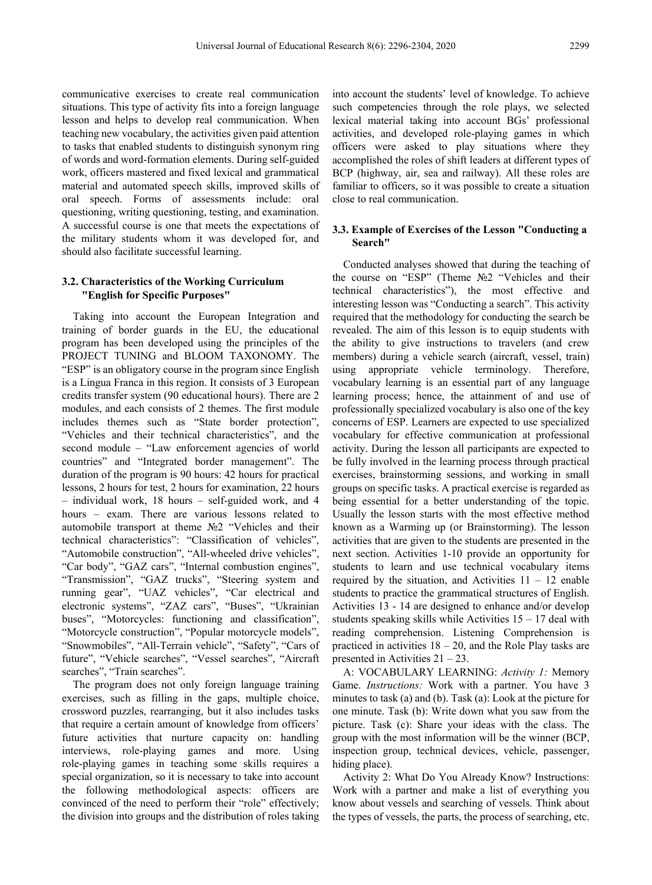communicative exercises to create real communication situations. This type of activity fits into a foreign language lesson and helps to develop real communication. When teaching new vocabulary, the activities given paid attention to tasks that enabled students to distinguish synonym ring of words and word-formation elements. During self-guided work, officers mastered and fixed lexical and grammatical material and automated speech skills, improved skills of oral speech. Forms of assessments include: oral questioning, writing questioning, testing, and examination. A successful course is one that meets the expectations of the military students whom it was developed for, and should also facilitate successful learning.

### **3.2. Characteristics of the Working Curriculum "English for Specific Purposes"**

Taking into account the European Integration and training of border guards in the EU, the educational program has been developed using the principles of the PROJECT TUNING and BLOOM TAXONOMY. The "ESP" is an obligatory course in the program since English is a Lingua Franca in this region. It consists of 3 European credits transfer system (90 educational hours). There are 2 modules, and each consists of 2 themes. The first module includes themes such as "State border protection", "Vehicles and their technical characteristics", and the second module – "Law enforcement agencies of world countries" and "Integrated border management". The duration of the program is 90 hours: 42 hours for practical lessons, 2 hours for test, 2 hours for examination, 22 hours – individual work, 18 hours – self-guided work, and 4 hours – exam. There are various lessons related to automobile transport at theme №2 "Vehicles and their technical characteristics": "Classification of vehicles", "Automobile construction", "All-wheeled drive vehicles", "Car body", "GAZ cars", "Internal combustion engines", "Transmission", "GAZ trucks", "Steering system and running gear", "UAZ vehicles", "Car electrical and electronic systems", "ZAZ cars", "Buses", "Ukrainian buses", "Motorcycles: functioning and classification", "Motorcycle construction", "Popular motorcycle models", "Snowmobiles", "All-Terrain vehicle", "Safety", "Cars of future", "Vehicle searches", "Vessel searches", "Aircraft searches", "Train searches".

The program does not only foreign language training exercises, such as filling in the gaps, multiple choice, crossword puzzles, rearranging, but it also includes tasks that require a certain amount of knowledge from officers' future activities that nurture capacity on: handling interviews, role-playing games and more. Using role-playing games in teaching some skills requires a special organization, so it is necessary to take into account the following methodological aspects: officers are convinced of the need to perform their "role" effectively; the division into groups and the distribution of roles taking

into account the students' level of knowledge. To achieve such competencies through the role plays, we selected lexical material taking into account BGs' professional activities, and developed role-playing games in which officers were asked to play situations where they accomplished the roles of shift leaders at different types of BCP (highway, air, sea and railway). All these roles are familiar to officers, so it was possible to create a situation close to real communication.

## **3.3. Example of Exercises of the Lesson "Conducting a Search"**

Conducted analyses showed that during the teaching of the course on "ESP" (Theme №2 "Vehicles and their technical characteristics"), the most effective and interesting lesson was "Conducting a search". This activity required that the methodology for conducting the search be revealed. The aim of this lesson is to equip students with the ability to give instructions to travelers (and crew members) during a vehicle search (aircraft, vessel, train) using appropriate vehicle terminology. Therefore, vocabulary learning is an essential part of any language learning process; hence, the attainment of and use of professionally specialized vocabulary is also one of the key concerns of ESP. Learners are expected to use specialized vocabulary for effective communication at professional activity. During the lesson all participants are expected to be fully involved in the learning process through practical exercises, brainstorming sessions, and working in small groups on specific tasks. A practical exercise is regarded as being essential for a better understanding of the topic. Usually the lesson starts with the most effective method known as a Warming up (or Brainstorming). The lesson activities that are given to the students are presented in the next section. Activities 1-10 provide an opportunity for students to learn and use technical vocabulary items required by the situation, and Activities  $11 - 12$  enable students to practice the grammatical structures of English. Activities 13 - 14 are designed to enhance and/or develop students speaking skills while Activities  $15 - 17$  deal with reading comprehension. Listening Comprehension is practiced in activities  $18 - 20$ , and the Role Play tasks are presented in Activities 21 – 23.

A: VOCABULARY LEARNING: *Activity 1:* Memory Game. *Instructions:* Work with a partner. You have 3 minutes to task (a) and (b). Task (a): Look at the picture for one minute. Task (b): Write down what you saw from the picture. Task (c): Share your ideas with the class. The group with the most information will be the winner (BCP, inspection group, technical devices, vehicle, passenger, hiding place).

Activity 2: What Do You Already Know? Instructions: Work with a partner and make a list of everything you know about vessels and searching of vessels. Think about the types of vessels, the parts, the process of searching, etc.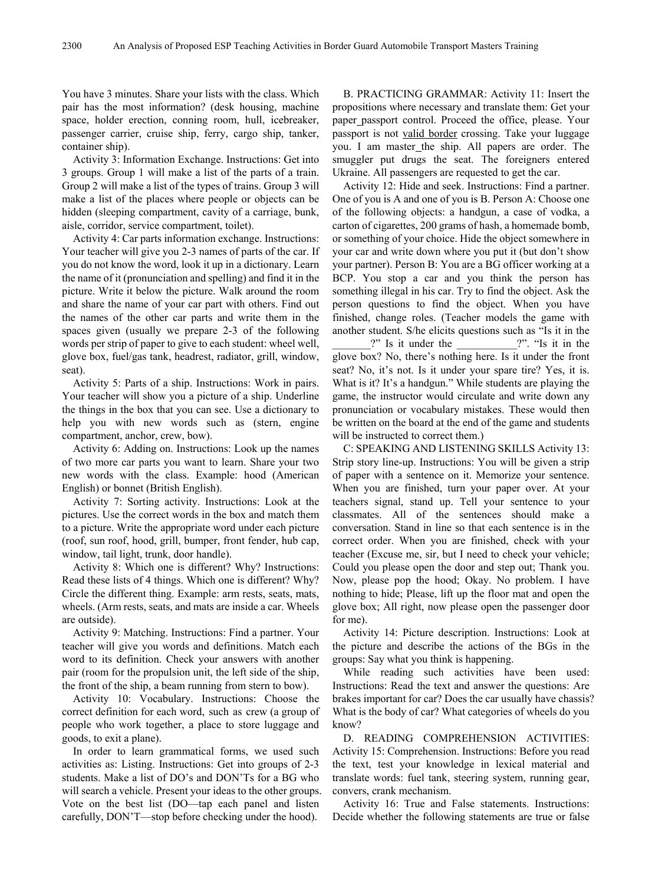You have 3 minutes. Share your lists with the class. Which pair has the most information? (desk housing, machine space, holder erection, conning room, hull, icebreaker, passenger carrier, cruise ship, ferry, cargo ship, tanker, container ship).

Activity 3: Information Exchange. Instructions: Get into 3 groups. Group 1 will make a list of the parts of a train. Group 2 will make a list of the types of trains. Group 3 will make a list of the places where people or objects can be hidden (sleeping compartment, cavity of a carriage, bunk, aisle, corridor, service compartment, toilet).

Activity 4: Car parts information exchange. Instructions: Your teacher will give you 2-3 names of parts of the car. If you do not know the word, look it up in a dictionary. Learn the name of it (pronunciation and spelling) and find it in the picture. Write it below the picture. Walk around the room and share the name of your car part with others. Find out the names of the other car parts and write them in the spaces given (usually we prepare 2-3 of the following words per strip of paper to give to each student: wheel well, glove box, fuel/gas tank, headrest, radiator, grill, window, seat).

Activity 5: Parts of a ship. Instructions: Work in pairs. Your teacher will show you a picture of a ship. Underline the things in the box that you can see. Use a dictionary to help you with new words such as (stern, engine compartment, anchor, crew, bow).

Activity 6: Adding on. Instructions: Look up the names of two more car parts you want to learn. Share your two new words with the class. Example: hood (American English) or bonnet (British English).

Activity 7: Sorting activity. Instructions: Look at the pictures. Use the correct words in the box and match them to a picture. Write the appropriate word under each picture (roof, sun roof, hood, grill, bumper, front fender, hub cap, window, tail light, trunk, door handle).

Activity 8: Which one is different? Why? Instructions: Read these lists of 4 things. Which one is different? Why? Circle the different thing. Example: arm rests, seats, mats, wheels. (Arm rests, seats, and mats are inside a car. Wheels are outside).

Activity 9: Matching. Instructions: Find a partner. Your teacher will give you words and definitions. Match each word to its definition. Check your answers with another pair (room for the propulsion unit, the left side of the ship, the front of the ship, a beam running from stern to bow).

Activity 10: Vocabulary. Instructions: Choose the correct definition for each word, such as crew (a group of people who work together, a place to store luggage and goods, to exit a plane).

In order to learn grammatical forms, we used such activities as: Listing. Instructions: Get into groups of 2-3 students. Make a list of DO's and DON'Ts for a BG who will search a vehicle. Present your ideas to the other groups. Vote on the best list (DO—tap each panel and listen carefully, DON'T—stop before checking under the hood).

B. PRACTICING GRAMMAR: Activity 11: Insert the propositions where necessary and translate them: Get your paper passport control. Proceed the office, please. Your passport is not valid border crossing. Take your luggage you. I am master the ship. All papers are order. The smuggler put drugs the seat. The foreigners entered Ukraine. All passengers are requested to get the car.

Activity 12: Hide and seek. Instructions: Find a partner. One of you is A and one of you is B. Person A: Choose one of the following objects: a handgun, a case of vodka, a carton of cigarettes, 200 grams of hash, a homemade bomb, or something of your choice. Hide the object somewhere in your car and write down where you put it (but don't show your partner). Person B: You are a BG officer working at a BCP. You stop a car and you think the person has something illegal in his car. Try to find the object. Ask the person questions to find the object. When you have finished, change roles. (Teacher models the game with another student. S/he elicits questions such as "Is it in the ?" Is it under the <br>
?". "Is it in the glove box? No, there's nothing here. Is it under the front seat? No, it's not. Is it under your spare tire? Yes, it is. What is it? It's a handgun." While students are playing the game, the instructor would circulate and write down any pronunciation or vocabulary mistakes. These would then be written on the board at the end of the game and students will be instructed to correct them.)

C: SPEAKING AND LISTENING SKILLS Activity 13: Strip story line-up. Instructions: You will be given a strip of paper with a sentence on it. Memorize your sentence. When you are finished, turn your paper over. At your teachers signal, stand up. Tell your sentence to your classmates. All of the sentences should make a conversation. Stand in line so that each sentence is in the correct order. When you are finished, check with your teacher (Excuse me, sir, but I need to check your vehicle; Could you please open the door and step out; Thank you. Now, please pop the hood; Okay. No problem. I have nothing to hide; Please, lift up the floor mat and open the glove box; All right, now please open the passenger door for me).

Activity 14: Picture description. Instructions: Look at the picture and describe the actions of the BGs in the groups: Say what you think is happening.

While reading such activities have been used: Instructions: Read the text and answer the questions: Are brakes important for car? Does the car usually have chassis? What is the body of car? What categories of wheels do you know?

D. READING COMPREHENSION ACTIVITIES: Activity 15: Comprehension. Instructions: Before you read the text, test your knowledge in lexical material and translate words: fuel tank, steering system, running gear, convers, crank mechanism.

Activity 16: True and False statements. Instructions: Decide whether the following statements are true or false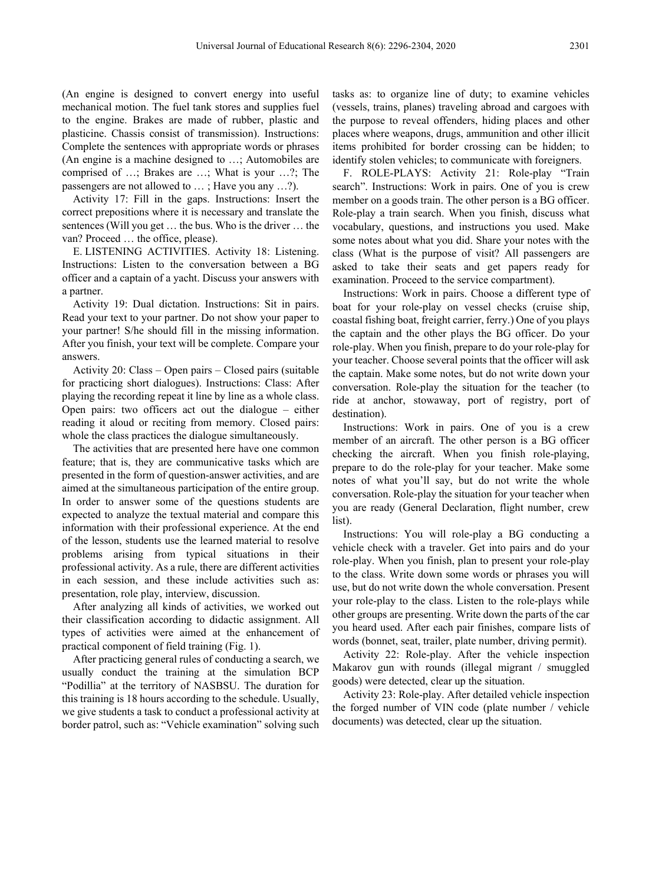(An engine is designed to convert energy into useful mechanical motion. The fuel tank stores and supplies fuel to the engine. Brakes are made of rubber, plastic and plasticine. Chassis consist of transmission). Instructions: Complete the sentences with appropriate words or phrases (An engine is a machine designed to …; Automobiles are comprised of …; Brakes are …; What is your …?; The passengers are not allowed to … ; Have you any …?).

Activity 17: Fill in the gaps. Instructions: Insert the correct prepositions where it is necessary and translate the sentences (Will you get … the bus. Who is the driver … the van? Proceed … the office, please).

E. LISTENING ACTIVITIES. Activity 18: Listening. Instructions: Listen to the conversation between a BG officer and a captain of a yacht. Discuss your answers with a partner.

Activity 19: Dual dictation. Instructions: Sit in pairs. Read your text to your partner. Do not show your paper to your partner! S/he should fill in the missing information. After you finish, your text will be complete. Compare your answers.

Activity 20: Class – Open pairs – Closed pairs (suitable for practicing short dialogues). Instructions: Class: After playing the recording repeat it line by line as a whole class. Open pairs: two officers act out the dialogue – either reading it aloud or reciting from memory. Closed pairs: whole the class practices the dialogue simultaneously.

The activities that are presented here have one common feature; that is, they are communicative tasks which are presented in the form of question-answer activities, and are aimed at the simultaneous participation of the entire group. In order to answer some of the questions students are expected to analyze the textual material and compare this information with their professional experience. At the end of the lesson, students use the learned material to resolve problems arising from typical situations in their professional activity. As a rule, there are different activities in each session, and these include activities such as: presentation, role play, interview, discussion.

After analyzing all kinds of activities, we worked out their classification according to didactic assignment. All types of activities were aimed at the enhancement of practical component of field training (Fig. 1).

After practicing general rules of conducting a search, we usually conduct the training at the simulation BCP "Podillia" at the territory of NASBSU. The duration for this training is 18 hours according to the schedule. Usually, we give students a task to conduct a professional activity at border patrol, such as: "Vehicle examination" solving such

tasks as: to organize line of duty; to examine vehicles (vessels, trains, planes) traveling abroad and cargoes with the purpose to reveal offenders, hiding places and other places where weapons, drugs, ammunition and other illicit items prohibited for border crossing can be hidden; to identify stolen vehicles; to communicate with foreigners.

F. ROLE-PLAYS: Activity 21: Role-play "Train search". Instructions: Work in pairs. One of you is crew member on a goods train. The other person is a BG officer. Role-play a train search. When you finish, discuss what vocabulary, questions, and instructions you used. Make some notes about what you did. Share your notes with the class (What is the purpose of visit? All passengers are asked to take their seats and get papers ready for examination. Proceed to the service compartment).

Instructions: Work in pairs. Choose a different type of boat for your role-play on vessel checks (cruise ship, coastal fishing boat, freight carrier, ferry.) One of you plays the captain and the other plays the BG officer. Do your role-play. When you finish, prepare to do your role-play for your teacher. Choose several points that the officer will ask the captain. Make some notes, but do not write down your conversation. Role-play the situation for the teacher (to ride at anchor, stowaway, port of registry, port of destination).

Instructions: Work in pairs. One of you is a crew member of an aircraft. The other person is a BG officer checking the aircraft. When you finish role-playing, prepare to do the role-play for your teacher. Make some notes of what you'll say, but do not write the whole conversation. Role-play the situation for your teacher when you are ready (General Declaration, flight number, crew list).

Instructions: You will role-play a BG conducting a vehicle check with a traveler. Get into pairs and do your role-play. When you finish, plan to present your role-play to the class. Write down some words or phrases you will use, but do not write down the whole conversation. Present your role-play to the class. Listen to the role-plays while other groups are presenting. Write down the parts of the car you heard used. After each pair finishes, compare lists of words (bonnet, seat, trailer, plate number, driving permit).

Activity 22: Role-play. After the vehicle inspection Makarov gun with rounds (illegal migrant / smuggled goods) were detected, clear up the situation.

Activity 23: Role-play. After detailed vehicle inspection the forged number of VIN code (plate number / vehicle documents) was detected, clear up the situation.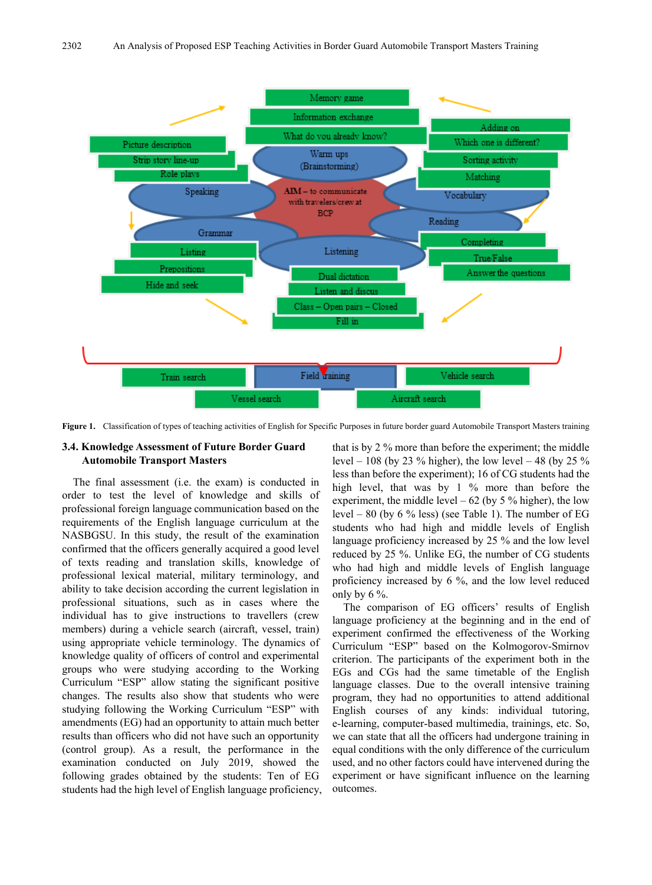

**Figure 1.** Classification of types of teaching activities of English for Specific Purposes in future border guard Automobile Transport Masters training

## **3.4. Knowledge Assessment of Future Border Guard Automobile Transport Masters**

The final assessment (i.e. the exam) is conducted in order to test the level of knowledge and skills of professional foreign language communication based on the requirements of the English language curriculum at the NASBGSU. In this study, the result of the examination confirmed that the officers generally acquired a good level of texts reading and translation skills, knowledge of professional lexical material, military terminology, and ability to take decision according the current legislation in professional situations, such as in cases where the individual has to give instructions to travellers (crew members) during a vehicle search (aircraft, vessel, train) using appropriate vehicle terminology. The dynamics of knowledge quality of officers of control and experimental groups who were studying according to the Working Curriculum "ESP" allow stating the significant positive changes. The results also show that students who were studying following the Working Curriculum "ESP" with amendments (EG) had an opportunity to attain much better results than officers who did not have such an opportunity (control group). As a result, the performance in the examination conducted on July 2019, showed the following grades obtained by the students: Ten of EG students had the high level of English language proficiency, that is by 2 % more than before the experiment; the middle level – 108 (by 23 % higher), the low level – 48 (by 25 % less than before the experiment); 16 of CG students had the high level, that was by 1 % more than before the experiment, the middle level  $-62$  (by 5 % higher), the low level – 80 (by 6 % less) (see Table 1). The number of EG students who had high and middle levels of English language proficiency increased by 25 % and the low level reduced by 25 %. Unlike EG, the number of CG students who had high and middle levels of English language proficiency increased by 6 %, and the low level reduced only by 6 %.

The comparison of EG officers' results of English language proficiency at the beginning and in the end of experiment confirmed the effectiveness of the Working Curriculum "ESP" based on the Kolmogorov-Smirnov criterion. The participants of the experiment both in the EGs and CGs had the same timetable of the English language classes. Due to the overall intensive training program, they had no opportunities to attend additional English courses of any kinds: individual tutoring, e-learning, computer-based multimedia, trainings, etc. So, we can state that all the officers had undergone training in equal conditions with the only difference of the curriculum used, and no other factors could have intervened during the experiment or have significant influence on the learning outcomes.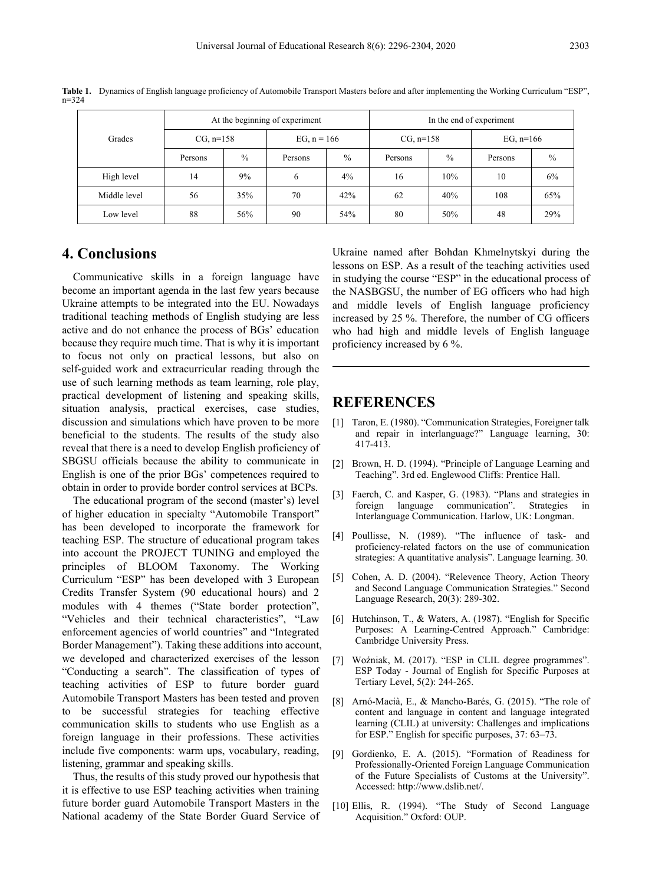| ×<br>۰, |  |
|---------|--|
|         |  |

| Grades       | At the beginning of experiment |               |               | In the end of experiment |             |               |             |               |
|--------------|--------------------------------|---------------|---------------|--------------------------|-------------|---------------|-------------|---------------|
|              | $CG, n=158$                    |               | EG, $n = 166$ |                          | $CG, n=158$ |               | EG, $n=166$ |               |
|              | Persons                        | $\frac{0}{0}$ | Persons       | $\frac{0}{0}$            | Persons     | $\frac{0}{0}$ | Persons     | $\frac{0}{0}$ |
| High level   | 14                             | 9%            | 6             | $4\%$                    | 16          | 10%           | 10          | 6%            |
| Middle level | 56                             | 35%           | 70            | 42%                      | 62          | 40%           | 108         | 65%           |
| Low level    | 88                             | 56%           | 90            | 54%                      | 80          | 50%           | 48          | 29%           |

**Table 1.** Dynamics of English language proficiency of Automobile Transport Masters before and after implementing the Working Curriculum "ESP", n=324

# **4. Conclusions**

Communicative skills in a foreign language have become an important agenda in the last few years because Ukraine attempts to be integrated into the EU. Nowadays traditional teaching methods of English studying are less active and do not enhance the process of BGs' education because they require much time. That is why it is important to focus not only on practical lessons, but also on self-guided work and extracurricular reading through the use of such learning methods as team learning, role play, practical development of listening and speaking skills, situation analysis, practical exercises, case studies, discussion and simulations which have proven to be more beneficial to the students. The results of the study also reveal that there is a need to develop English proficiency of SBGSU officials because the ability to communicate in English is one of the prior BGs' competences required to obtain in order to provide border control services at BCPs.

The educational program of the second (master's) level of higher education in specialty "Automobile Transport" has been developed to incorporate the framework for teaching ESP. The structure of educational program takes into account the PROJECT TUNING and employed the principles of BLOOM Taxonomy. The Working Curriculum "ESP" has been developed with 3 European Credits Transfer System (90 educational hours) and 2 modules with 4 themes ("State border protection", "Vehicles and their technical characteristics", "Law enforcement agencies of world countries" and "Integrated Border Management"). Taking these additions into account, we developed and characterized exercises of the lesson "Conducting a search". The classification of types of teaching activities of ESP to future border guard Automobile Transport Masters has been tested and proven to be successful strategies for teaching effective communication skills to students who use English as a foreign language in their professions. These activities include five components: warm ups, vocabulary, reading, listening, grammar and speaking skills.

Thus, the results of this study proved our hypothesis that it is effective to use ESP teaching activities when training future border guard Automobile Transport Masters in the National academy of the State Border Guard Service of Ukraine named after Bohdan Khmelnytskyi during the lessons on ESP. As a result of the teaching activities used in studying the course "ESP" in the educational process of the NASBGSU, the number of EG officers who had high and middle levels of English language proficiency increased by 25 %. Therefore, the number of CG officers who had high and middle levels of English language proficiency increased by 6 %.

## **REFERENCES**

- [1] Taron, E. (1980). "Communication Strategies, Foreigner talk and repair in interlanguage?" Language learning, 30: 417-413.
- [2] Brown, H. D. (1994). "Principle of Language Learning and Teaching". 3rd ed. Englewood Cliffs: Prentice Hall.
- [3] Faerch, C. and Kasper, G. (1983). "Plans and strategies in foreign language communication". Strategies in Interlanguage Communication. Harlow, UK: Longman.
- [4] Poullisse, N. (1989). "The influence of task- and proficiency-related factors on the use of communication strategies: A quantitative analysis". Language learning. 30.
- [5] Cohen, A. D. (2004). "Relevence Theory, Action Theory and Second Language Communication Strategies." Second Language Research, 20(3): 289-302.
- [6] Hutchinson, T., & Waters, A. (1987). "English for Specific Purposes: A Learning-Centred Approach." Cambridge: Cambridge University Press.
- [7] Woźniak, M. (2017). "ESP in CLIL degree programmes". ESP Today - Journal of English for Specific Purposes at Tertiary Level, 5(2): 244-265.
- [8] Arnó-Macià, E., & Mancho-Barés, G. (2015). "The role of content and language in content and language integrated learning (CLIL) at university: Challenges and implications for ESP." English for specific purposes, 37: 63–73.
- [9] Gordienko, E. A. (2015). "Formation of Readiness for Professionally-Oriented Foreign Language Communication of the Future Specialists of Customs at the University". Accessed: http://www.dslib.net/.
- [10] Ellis, R. (1994). "The Study of Second Language Acquisition." Oxford: OUP.